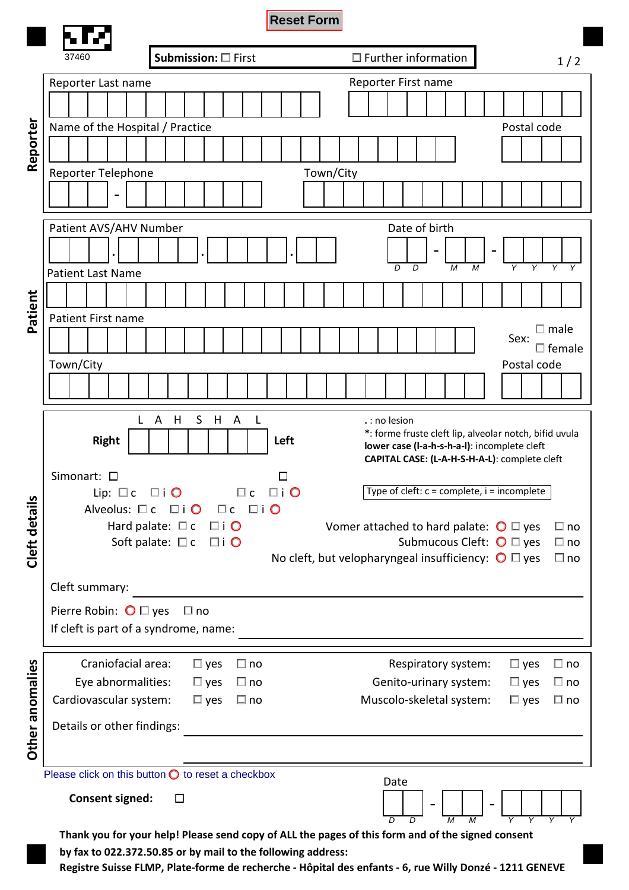|                                                            |                                                                                                                       |                                                                                                                                                                  | <b>Reset Form</b> |           |                                                                        |                       |                                  |                              |  |
|------------------------------------------------------------|-----------------------------------------------------------------------------------------------------------------------|------------------------------------------------------------------------------------------------------------------------------------------------------------------|-------------------|-----------|------------------------------------------------------------------------|-----------------------|----------------------------------|------------------------------|--|
|                                                            | 37460                                                                                                                 | Submission: □ First                                                                                                                                              |                   |           | $\Box$ Further information                                             |                       |                                  | 1/2                          |  |
|                                                            | Reporter Last name                                                                                                    |                                                                                                                                                                  |                   |           | Reporter First name                                                    |                       |                                  |                              |  |
|                                                            |                                                                                                                       |                                                                                                                                                                  |                   |           |                                                                        |                       |                                  |                              |  |
|                                                            | Name of the Hospital / Practice<br>Postal code                                                                        |                                                                                                                                                                  |                   |           |                                                                        |                       |                                  |                              |  |
| Reporter                                                   |                                                                                                                       |                                                                                                                                                                  |                   |           |                                                                        |                       |                                  |                              |  |
|                                                            | Reporter Telephone                                                                                                    |                                                                                                                                                                  |                   | Town/City |                                                                        |                       |                                  |                              |  |
|                                                            |                                                                                                                       |                                                                                                                                                                  |                   |           |                                                                        |                       |                                  |                              |  |
|                                                            | Patient AVS/AHV Number<br>Date of birth                                                                               |                                                                                                                                                                  |                   |           |                                                                        |                       |                                  |                              |  |
|                                                            |                                                                                                                       |                                                                                                                                                                  |                   |           |                                                                        |                       |                                  |                              |  |
|                                                            |                                                                                                                       |                                                                                                                                                                  |                   |           | $\overline{D}$<br>D                                                    | M<br>$\boldsymbol{M}$ | $\overline{Y}$<br>$\overline{Y}$ | $\overline{Y}$               |  |
|                                                            | <b>Patient Last Name</b>                                                                                              |                                                                                                                                                                  |                   |           |                                                                        |                       |                                  |                              |  |
| Patient                                                    |                                                                                                                       |                                                                                                                                                                  |                   |           |                                                                        |                       |                                  |                              |  |
|                                                            | Patient First name                                                                                                    |                                                                                                                                                                  |                   |           |                                                                        |                       |                                  | $\square$ male               |  |
|                                                            |                                                                                                                       |                                                                                                                                                                  |                   |           |                                                                        |                       | Sex:                             | $\Box$ female                |  |
|                                                            | Town/City                                                                                                             |                                                                                                                                                                  |                   |           |                                                                        |                       | Postal code                      |                              |  |
|                                                            |                                                                                                                       |                                                                                                                                                                  |                   |           |                                                                        |                       |                                  |                              |  |
|                                                            |                                                                                                                       |                                                                                                                                                                  |                   |           |                                                                        |                       |                                  |                              |  |
|                                                            | L                                                                                                                     | S<br>A<br>A<br>H<br>H<br>L                                                                                                                                       |                   |           | .: no lesion<br>*: forme fruste cleft lip, alveolar notch, bifid uvula |                       |                                  |                              |  |
|                                                            | <b>Right</b><br>Left<br>lower case (I-a-h-s-h-a-I): incomplete cleft<br>CAPITAL CASE: (L-A-H-S-H-A-L): complete cleft |                                                                                                                                                                  |                   |           |                                                                        |                       |                                  |                              |  |
|                                                            | Simonart: $\square$<br>□                                                                                              |                                                                                                                                                                  |                   |           |                                                                        |                       |                                  |                              |  |
|                                                            | Lip: $\square$ c                                                                                                      | $\square$ i $\bigcirc$<br>$\Box$ c                                                                                                                               | $\Box$ i O        |           | Type of cleft: $c =$ complete, $i =$ incomplete                        |                       |                                  |                              |  |
|                                                            | Alveolus: $\square$ c                                                                                                 | $\square$ i O<br>$\Box$ i O<br>$\Box$ c                                                                                                                          |                   |           |                                                                        |                       |                                  |                              |  |
|                                                            |                                                                                                                       | Hard palate: $\square$ c<br>$\square$ i $\bigcirc$<br>$\Box$ i O                                                                                                 |                   |           | Vomer attached to hard palate: $\bigcirc \Box$ yes                     |                       |                                  | $\Box$ no                    |  |
| Cleft details                                              |                                                                                                                       | Soft palate: $\square$ c<br>Submucous Cleft: $\bigcirc \Box$ yes<br>$\Box$ no<br>No cleft, but velopharyngeal insufficiency: $\bigcirc \Box$ yes<br>$\square$ no |                   |           |                                                                        |                       |                                  |                              |  |
|                                                            | Cleft summary:                                                                                                        |                                                                                                                                                                  |                   |           |                                                                        |                       |                                  |                              |  |
|                                                            |                                                                                                                       |                                                                                                                                                                  |                   |           |                                                                        |                       |                                  |                              |  |
|                                                            | Pierre Robin: $\bigcirc \Box$ yes<br>$\square$ no<br>If cleft is part of a syndrome, name:                            |                                                                                                                                                                  |                   |           |                                                                        |                       |                                  |                              |  |
|                                                            |                                                                                                                       |                                                                                                                                                                  |                   |           |                                                                        |                       |                                  |                              |  |
|                                                            | Craniofacial area:                                                                                                    | $\square$ yes<br>$\Box$ no                                                                                                                                       |                   |           |                                                                        | Respiratory system:   | $\square$ yes                    | $\Box$ no                    |  |
|                                                            | Eye abnormalities:<br>Cardiovascular system:                                                                          | $\square$ yes<br>$\Box$ no<br>$\square$ yes<br>$\square$ no                                                                                                      |                   |           | Genito-urinary system:<br>Muscolo-skeletal system:                     |                       | $\square$ yes<br>$\square$ yes   | $\square$ no<br>$\square$ no |  |
|                                                            | Details or other findings:                                                                                            |                                                                                                                                                                  |                   |           |                                                                        |                       |                                  |                              |  |
| Other anomalies                                            |                                                                                                                       |                                                                                                                                                                  |                   |           |                                                                        |                       |                                  |                              |  |
| Please click on this button $\bigcirc$ to reset a checkbox |                                                                                                                       |                                                                                                                                                                  |                   |           |                                                                        |                       |                                  |                              |  |
|                                                            | Date<br><b>Consent signed:</b><br>$\Box$                                                                              |                                                                                                                                                                  |                   |           |                                                                        |                       |                                  |                              |  |
|                                                            |                                                                                                                       |                                                                                                                                                                  | ת<br>D            | M<br>M    |                                                                        |                       |                                  |                              |  |

Thank you for your help! Please send copy of ALL the pages of this form and of the signed consent by fax to 022.3**7**2.50.85 or by mail to the following address:

Registre Suisse FLMP, Plate-forme de recherche - Hôpital des enfants - 6, rue Willy Donzé - 1211 GENEVE 14